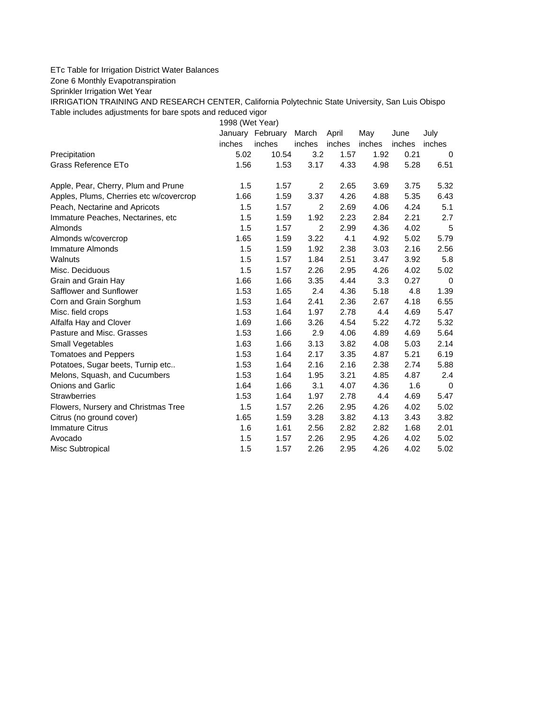## ETc Table for Irrigation District Water Balances

Zone 6 Monthly Evapotranspiration

Sprinkler Irrigation Wet Year

IRRIGATION TRAINING AND RESEARCH CENTER, California Polytechnic State University, San Luis Obispo Table includes adjustments for bare spots and reduced vigor

1998 (Wet Year)

|                                         |        | January February | March          | April  | May    | June   | July   |
|-----------------------------------------|--------|------------------|----------------|--------|--------|--------|--------|
|                                         | inches | inches           | inches         | inches | inches | inches | inches |
| Precipitation                           | 5.02   | 10.54            | 3.2            | 1.57   | 1.92   | 0.21   | 0      |
| Grass Reference ETo                     | 1.56   | 1.53             | 3.17           | 4.33   | 4.98   | 5.28   | 6.51   |
| Apple, Pear, Cherry, Plum and Prune     | 1.5    | 1.57             | 2              | 2.65   | 3.69   | 3.75   | 5.32   |
| Apples, Plums, Cherries etc w/covercrop | 1.66   | 1.59             | 3.37           | 4.26   | 4.88   | 5.35   | 6.43   |
| Peach, Nectarine and Apricots           | 1.5    | 1.57             | $\overline{c}$ | 2.69   | 4.06   | 4.24   | 5.1    |
| Immature Peaches, Nectarines, etc       | 1.5    | 1.59             | 1.92           | 2.23   | 2.84   | 2.21   | 2.7    |
| <b>Almonds</b>                          | 1.5    | 1.57             | $\overline{2}$ | 2.99   | 4.36   | 4.02   | 5      |
| Almonds w/covercrop                     | 1.65   | 1.59             | 3.22           | 4.1    | 4.92   | 5.02   | 5.79   |
| Immature Almonds                        | 1.5    | 1.59             | 1.92           | 2.38   | 3.03   | 2.16   | 2.56   |
| Walnuts                                 | 1.5    | 1.57             | 1.84           | 2.51   | 3.47   | 3.92   | 5.8    |
| Misc. Deciduous                         | 1.5    | 1.57             | 2.26           | 2.95   | 4.26   | 4.02   | 5.02   |
| Grain and Grain Hay                     | 1.66   | 1.66             | 3.35           | 4.44   | 3.3    | 0.27   | 0      |
| Safflower and Sunflower                 | 1.53   | 1.65             | 2.4            | 4.36   | 5.18   | 4.8    | 1.39   |
| Corn and Grain Sorghum                  | 1.53   | 1.64             | 2.41           | 2.36   | 2.67   | 4.18   | 6.55   |
| Misc. field crops                       | 1.53   | 1.64             | 1.97           | 2.78   | 4.4    | 4.69   | 5.47   |
| Alfalfa Hay and Clover                  | 1.69   | 1.66             | 3.26           | 4.54   | 5.22   | 4.72   | 5.32   |
| Pasture and Misc. Grasses               | 1.53   | 1.66             | 2.9            | 4.06   | 4.89   | 4.69   | 5.64   |
| Small Vegetables                        | 1.63   | 1.66             | 3.13           | 3.82   | 4.08   | 5.03   | 2.14   |
| <b>Tomatoes and Peppers</b>             | 1.53   | 1.64             | 2.17           | 3.35   | 4.87   | 5.21   | 6.19   |
| Potatoes, Sugar beets, Turnip etc       | 1.53   | 1.64             | 2.16           | 2.16   | 2.38   | 2.74   | 5.88   |
| Melons, Squash, and Cucumbers           | 1.53   | 1.64             | 1.95           | 3.21   | 4.85   | 4.87   | 2.4    |
| <b>Onions and Garlic</b>                | 1.64   | 1.66             | 3.1            | 4.07   | 4.36   | 1.6    | 0      |
| <b>Strawberries</b>                     | 1.53   | 1.64             | 1.97           | 2.78   | 4.4    | 4.69   | 5.47   |
| Flowers, Nursery and Christmas Tree     | 1.5    | 1.57             | 2.26           | 2.95   | 4.26   | 4.02   | 5.02   |
| Citrus (no ground cover)                | 1.65   | 1.59             | 3.28           | 3.82   | 4.13   | 3.43   | 3.82   |
| <b>Immature Citrus</b>                  | 1.6    | 1.61             | 2.56           | 2.82   | 2.82   | 1.68   | 2.01   |
| Avocado                                 | 1.5    | 1.57             | 2.26           | 2.95   | 4.26   | 4.02   | 5.02   |
| Misc Subtropical                        | 1.5    | 1.57             | 2.26           | 2.95   | 4.26   | 4.02   | 5.02   |